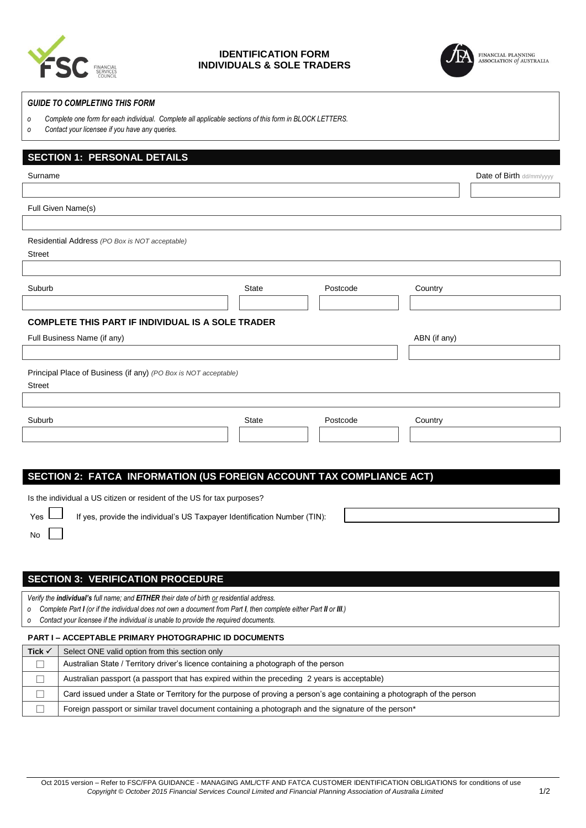

### **IDENTIFICATION FORM INDIVIDUALS & SOLE TRADERS**



#### *GUIDE TO COMPLETING THIS FORM*

- *o Complete one form for each individual. Complete all applicable sections of this form in BLOCK LETTERS.*
- *o Contact your licensee if you have any queries.*

# **SECTION 1: PERSONAL DETAILS** Surname **Date of Birth dd/mm/yyyy Date of Birth dd/mm/yyyy** Full Given Name(s) Residential Address *(PO Box is NOT acceptable)* Street Suburb **Suburb** Country Country Country State **Country Postcode** Country **COMPLETE THIS PART IF INDIVIDUAL IS A SOLE TRADER** Full Business Name (if any) **ABN** (if any) Principal Place of Business (if any) *(PO Box is NOT acceptable)* Street Suburb State Postcode Country **SECTION 2: FATCA INFORMATION (US FOREIGN ACCOUNT TAX COMPLIANCE ACT)** Is the individual a US citizen or resident of the US for tax purposes? Yes II If yes, provide the individual's US Taxpayer Identification Number (TIN): No **SECTION 3: VERIFICATION PROCEDURE** *Verify the individual's full name; and EITHER their date of birth or residential address.*

*o Complete Part I (or if the individual does not own a document from Part I, then complete either Part II or III.) o Contact your licensee if the individual is unable to provide the required documents.*

# **PART I – ACCEPTABLE PRIMARY PHOTOGRAPHIC ID DOCUMENTS Tick**  $\checkmark$  Select ONE valid option from this section only  $\Box$  Australian State / Territory driver's licence containing a photograph of the person  $\Box$  Australian passport (a passport that has expired within the preceding 2 years is acceptable)  $\Box$  Card issued under a State or Territory for the purpose of proving a person's age containing a photograph of the person  $\Box$  Foreign passport or similar travel document containing a photograph and the signature of the person\*